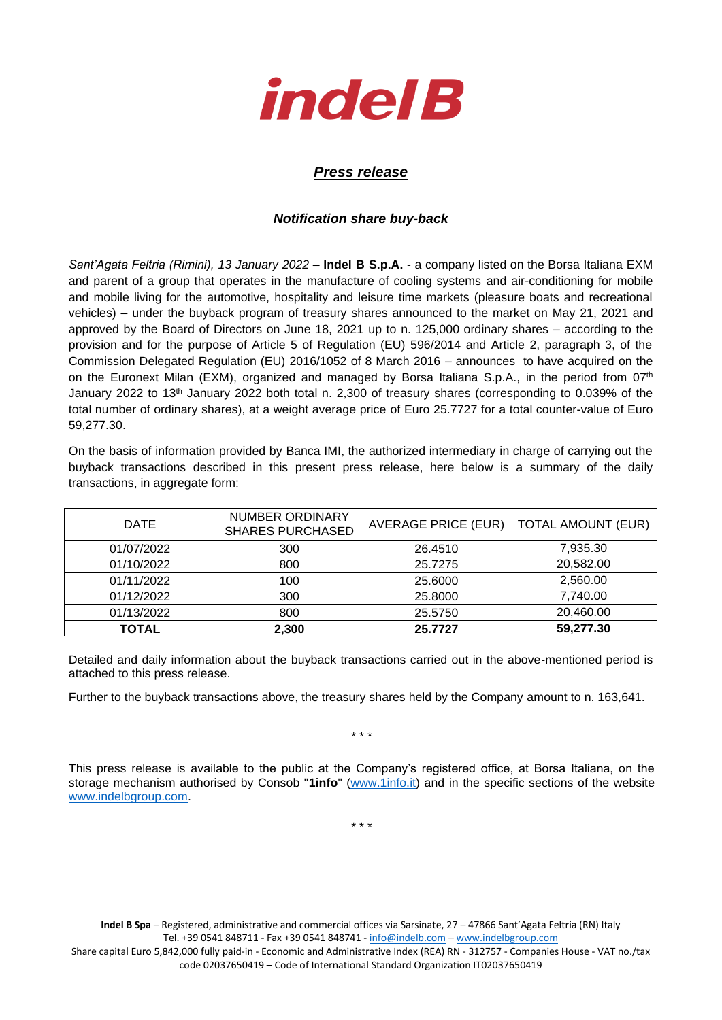

## *Press release*

## *Notification share buy-back*

*Sant'Agata Feltria (Rimini), 13 January 2022* – **Indel B S.p.A.** - a company listed on the Borsa Italiana EXM and parent of a group that operates in the manufacture of cooling systems and air-conditioning for mobile and mobile living for the automotive, hospitality and leisure time markets (pleasure boats and recreational vehicles) – under the buyback program of treasury shares announced to the market on May 21, 2021 and approved by the Board of Directors on June 18, 2021 up to n. 125,000 ordinary shares – according to the provision and for the purpose of Article 5 of Regulation (EU) 596/2014 and Article 2, paragraph 3, of the Commission Delegated Regulation (EU) 2016/1052 of 8 March 2016 – announces to have acquired on the on the Euronext Milan (EXM), organized and managed by Borsa Italiana S.p.A., in the period from 07<sup>th</sup> January 2022 to 13th January 2022 both total n. 2,300 of treasury shares (corresponding to 0.039% of the total number of ordinary shares), at a weight average price of Euro 25.7727 for a total counter-value of Euro 59,277.30.

On the basis of information provided by Banca IMI, the authorized intermediary in charge of carrying out the buyback transactions described in this present press release, here below is a summary of the daily transactions, in aggregate form:

| <b>DATE</b>  | NUMBER ORDINARY<br><b>SHARES PURCHASED</b> | <b>AVERAGE PRICE (EUR)</b> | <b>TOTAL AMOUNT (EUR)</b> |
|--------------|--------------------------------------------|----------------------------|---------------------------|
| 01/07/2022   | 300                                        | 26.4510                    | 7,935.30                  |
| 01/10/2022   | 800                                        | 25.7275                    | 20,582.00                 |
| 01/11/2022   | 100                                        | 25.6000                    | 2,560.00                  |
| 01/12/2022   | 300                                        | 25.8000                    | 7,740.00                  |
| 01/13/2022   | 800                                        | 25.5750                    | 20,460.00                 |
| <b>TOTAL</b> | 2,300                                      | 25.7727                    | 59,277.30                 |

Detailed and daily information about the buyback transactions carried out in the above-mentioned period is attached to this press release.

Further to the buyback transactions above, the treasury shares held by the Company amount to n. 163,641.

\* \* \*

This press release is available to the public at the Company's registered office, at Borsa Italiana, on the storage mechanism authorised by Consob "**1info**" [\(www.1info.it\)](file:///C:/Users/ddelietovollaro/AppData/Local/Microsoft/Windows/INetCache/Content.Outlook/T87B94UR/www.1info.it) and in the specific sections of the website [www.indelbgroup.com.](http://www.indelbgroup.com/)

\* \* \*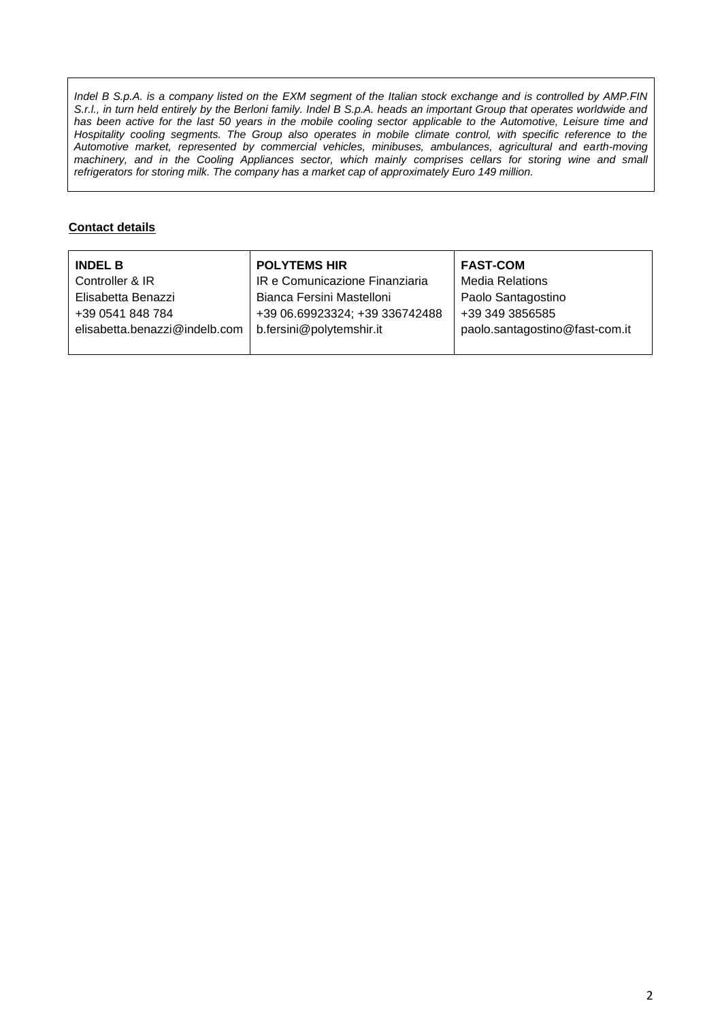*Indel B S.p.A. is a company listed on the EXM segment of the Italian stock exchange and is controlled by AMP.FIN S.r.l., in turn held entirely by the Berloni family. Indel B S.p.A. heads an important Group that operates worldwide and* has been active for the last 50 years in the mobile cooling sector applicable to the Automotive, Leisure time and Hospitality cooling segments. The Group also operates in mobile climate control, with specific reference to the *Automotive market, represented by commercial vehicles, minibuses, ambulances, agricultural and earth-moving machinery, and in the Cooling Appliances sector, which mainly comprises cellars for storing wine and small refrigerators for storing milk. The company has a market cap of approximately Euro 149 million.*

## **Contact details**

| <b>INDEL B</b>                | <b>POLYTEMS HIR</b>            | <b>FAST-COM</b>                |
|-------------------------------|--------------------------------|--------------------------------|
| Controller & IR               | IR e Comunicazione Finanziaria | <b>Media Relations</b>         |
| Elisabetta Benazzi            | Bianca Fersini Mastelloni      | Paolo Santagostino             |
| +39 0541 848 784              | +39 06.69923324; +39 336742488 | +39 349 3856585                |
| elisabetta.benazzi@indelb.com | b.fersini@polytemshir.it       | paolo.santagostino@fast-com.it |
|                               |                                |                                |